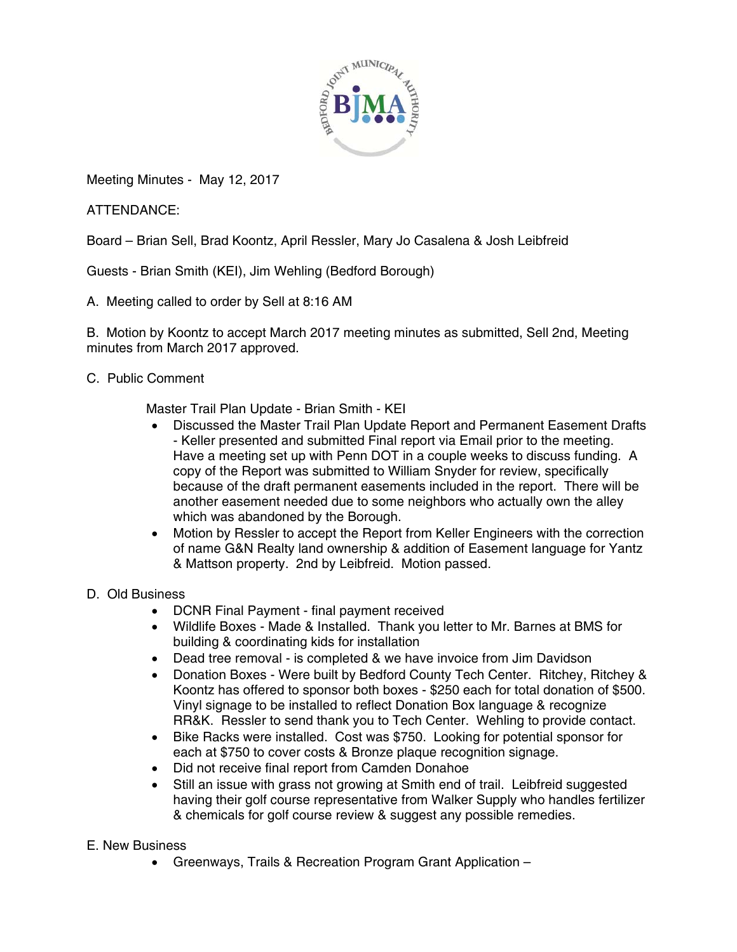

Meeting Minutes - May 12, 2017

ATTENDANCE:

Board – Brian Sell, Brad Koontz, April Ressler, Mary Jo Casalena & Josh Leibfreid

Guests - Brian Smith (KEI), Jim Wehling (Bedford Borough)

A. Meeting called to order by Sell at 8:16 AM

B. Motion by Koontz to accept March 2017 meeting minutes as submitted, Sell 2nd, Meeting minutes from March 2017 approved.

## C. Public Comment

Master Trail Plan Update - Brian Smith - KEI

- Discussed the Master Trail Plan Update Report and Permanent Easement Drafts - Keller presented and submitted Final report via Email prior to the meeting. Have a meeting set up with Penn DOT in a couple weeks to discuss funding. A copy of the Report was submitted to William Snyder for review, specifically because of the draft permanent easements included in the report. There will be another easement needed due to some neighbors who actually own the alley which was abandoned by the Borough.
- Motion by Ressler to accept the Report from Keller Engineers with the correction of name G&N Realty land ownership & addition of Easement language for Yantz & Mattson property. 2nd by Leibfreid. Motion passed.
- D. Old Business
	- DCNR Final Payment final payment received
	- Wildlife Boxes Made & Installed. Thank you letter to Mr. Barnes at BMS for building & coordinating kids for installation
	- Dead tree removal is completed & we have invoice from Jim Davidson
	- Donation Boxes Were built by Bedford County Tech Center. Ritchey, Ritchey & Koontz has offered to sponsor both boxes - \$250 each for total donation of \$500. Vinyl signage to be installed to reflect Donation Box language & recognize RR&K. Ressler to send thank you to Tech Center. Wehling to provide contact.
	- Bike Racks were installed. Cost was \$750. Looking for potential sponsor for each at \$750 to cover costs & Bronze plaque recognition signage.
	- Did not receive final report from Camden Donahoe
	- Still an issue with grass not growing at Smith end of trail. Leibfreid suggested having their golf course representative from Walker Supply who handles fertilizer & chemicals for golf course review & suggest any possible remedies.
- E. New Business
	- Greenways, Trails & Recreation Program Grant Application –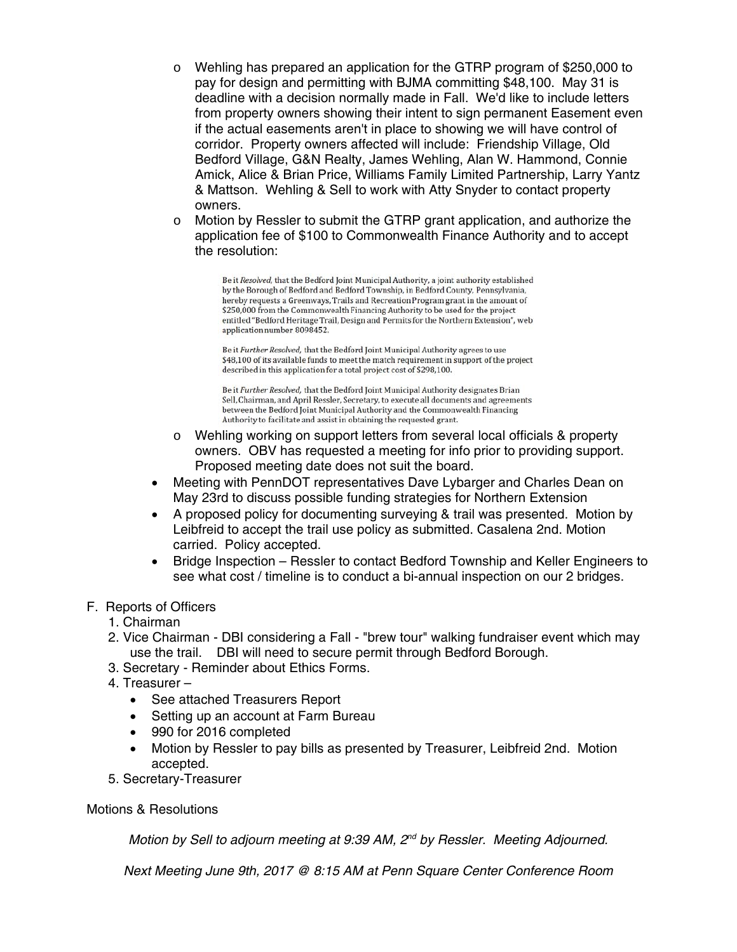- o Wehling has prepared an application for the GTRP program of \$250,000 to pay for design and permitting with BJMA committing \$48,100. May 31 is deadline with a decision normally made in Fall. We'd like to include letters from property owners showing their intent to sign permanent Easement even if the actual easements aren't in place to showing we will have control of corridor. Property owners affected will include: Friendship Village, Old Bedford Village, G&N Realty, James Wehling, Alan W. Hammond, Connie Amick, Alice & Brian Price, Williams Family Limited Partnership, Larry Yantz & Mattson. Wehling & Sell to work with Atty Snyder to contact property owners.
- $\circ$  Motion by Ressler to submit the GTRP grant application, and authorize the application fee of \$100 to Commonwealth Finance Authority and to accept the resolution:

Be it Resolved, that the Bedford Joint Municipal Authority, a joint authority established by the Borough of Bedford and Bedford Township, in Bedford County, Pennsylvania, hereby requests a Greenways, Trails and Recreation Program grant in the amount of \$250,000 from the Commonwealth Financing Authority to be used for the project entitled "Bedford Heritage Trail, Design and Permits for the Northern Extension", web application number 8098452.

Be it Further Resolved, that the Bedford Joint Municipal Authority agrees to use \$48,100 of its available funds to meet the match requirement in support of the project described in this application for a total project cost of \$298,100.

Be it Further Resolved, that the Bedford Joint Municipal Authority designates Brian Sell, Chairman, and April Ressler, Secretary, to execute all documents and agreements between the Bedford Joint Municipal Authority and the Commonwealth Financing Authority to facilitate and assist in obtaining the requested grant.

- o Wehling working on support letters from several local officials & property owners. OBV has requested a meeting for info prior to providing support. Proposed meeting date does not suit the board.
- Meeting with PennDOT representatives Dave Lybarger and Charles Dean on May 23rd to discuss possible funding strategies for Northern Extension
- A proposed policy for documenting surveying & trail was presented. Motion by Leibfreid to accept the trail use policy as submitted. Casalena 2nd. Motion carried. Policy accepted.
- Bridge Inspection Ressler to contact Bedford Township and Keller Engineers to see what cost / timeline is to conduct a bi-annual inspection on our 2 bridges.

## F. Reports of Officers

- 1. Chairman
- 2. Vice Chairman DBI considering a Fall "brew tour" walking fundraiser event which may use the trail. DBI will need to secure permit through Bedford Borough.
- 3. Secretary Reminder about Ethics Forms.
- 4. Treasurer
	- See attached Treasurers Report
	- Setting up an account at Farm Bureau
	- 990 for 2016 completed
	- Motion by Ressler to pay bills as presented by Treasurer, Leibfreid 2nd. Motion accepted.
- 5. Secretary-Treasurer

Motions & Resolutions

*Motion by Sell to adjourn meeting at 9:39 AM, 2<sup>nd</sup> by Ressler. Meeting Adjourned.* 

*Next Meeting June 9th, 2017 @ 8:15 AM at Penn Square Center Conference Room*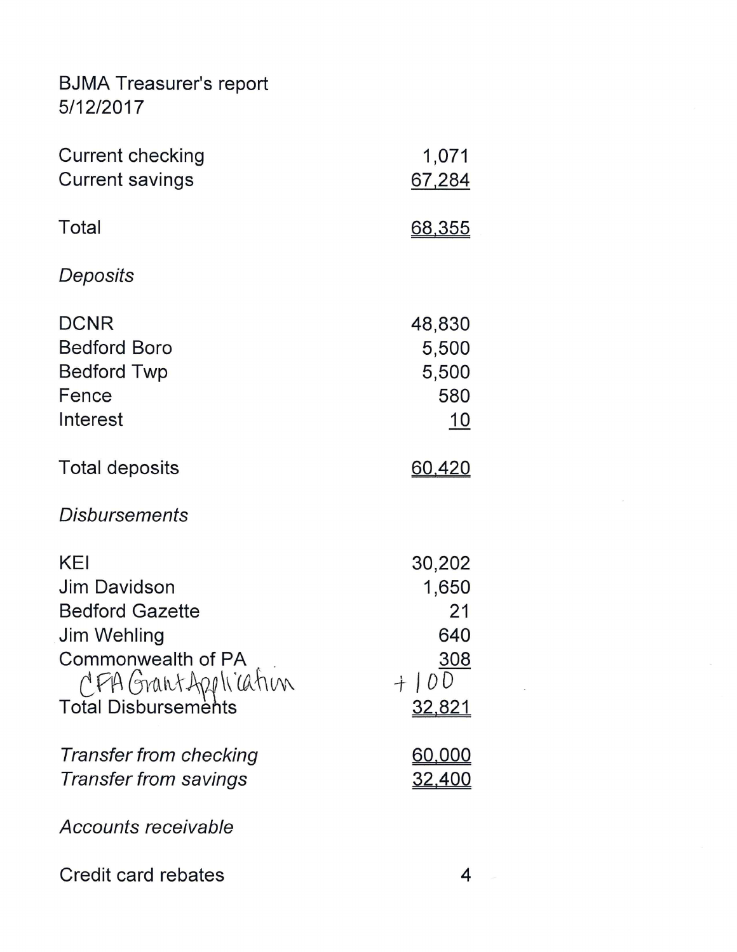## **BJMA Treasurer's report** 5/12/2017

| <b>Current checking</b><br><b>Current savings</b>                                                                                        | 1,071<br>67,284                                                    |
|------------------------------------------------------------------------------------------------------------------------------------------|--------------------------------------------------------------------|
| Total                                                                                                                                    | <u>68,355</u>                                                      |
| Deposits                                                                                                                                 |                                                                    |
| <b>DCNR</b><br><b>Bedford Boro</b><br><b>Bedford Twp</b><br>Fence<br>Interest                                                            | 48,830<br>5,500<br>5,500<br>580<br><u>10</u>                       |
| Total deposits                                                                                                                           | <u>60,420</u>                                                      |
| <b>Disbursements</b>                                                                                                                     |                                                                    |
| KEI<br>Jim Davidson<br><b>Bedford Gazette</b><br>Jim Wehling<br>Commonwealth of PA<br>CFA GrantApplication<br><b>Total Disbursements</b> | 30,202<br>1,650<br>21<br>640<br><u>308</u><br>100<br><u>32,821</u> |
| Transfer from checking<br><b>Transfer from savings</b>                                                                                   | <u>60,000</u><br><u>32,400</u>                                     |
| Accounts receivable                                                                                                                      |                                                                    |

Credit card rebates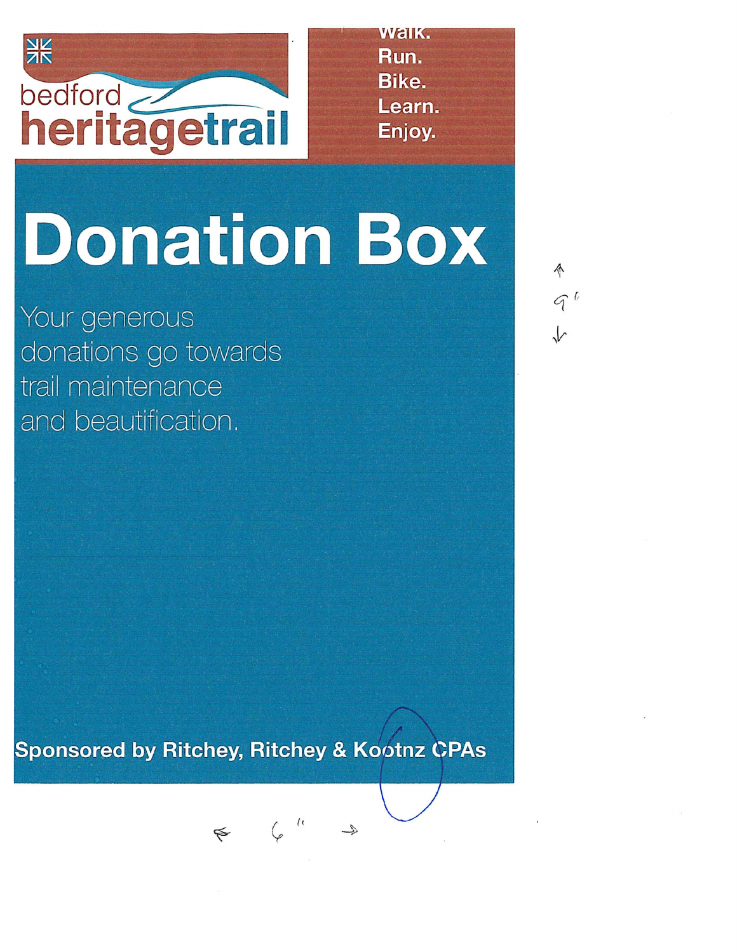

Walk. Run. Bike. Learn. Enjoy.

## **Donation Box**

Your generous donations go towards trail maintenance and beautification.

♦  $9<sup>6</sup>$ 

**Sponsored by Ritchey, Ritchey & Kootnz CPAs** 

 $\qquad \qquad \epsilon \qquad \zeta \qquad \qquad ^{\prime \prime}$ 

 $\begin{picture}(20,20) \put(0,0){\vector(1,0){10}} \put(15,0){\vector(1,0){10}} \put(15,0){\vector(1,0){10}} \put(15,0){\vector(1,0){10}} \put(15,0){\vector(1,0){10}} \put(15,0){\vector(1,0){10}} \put(15,0){\vector(1,0){10}} \put(15,0){\vector(1,0){10}} \put(15,0){\vector(1,0){10}} \put(15,0){\vector(1,0){10}} \put(15,0){\vector(1,0){10}} \put(15,0){\vector(1$